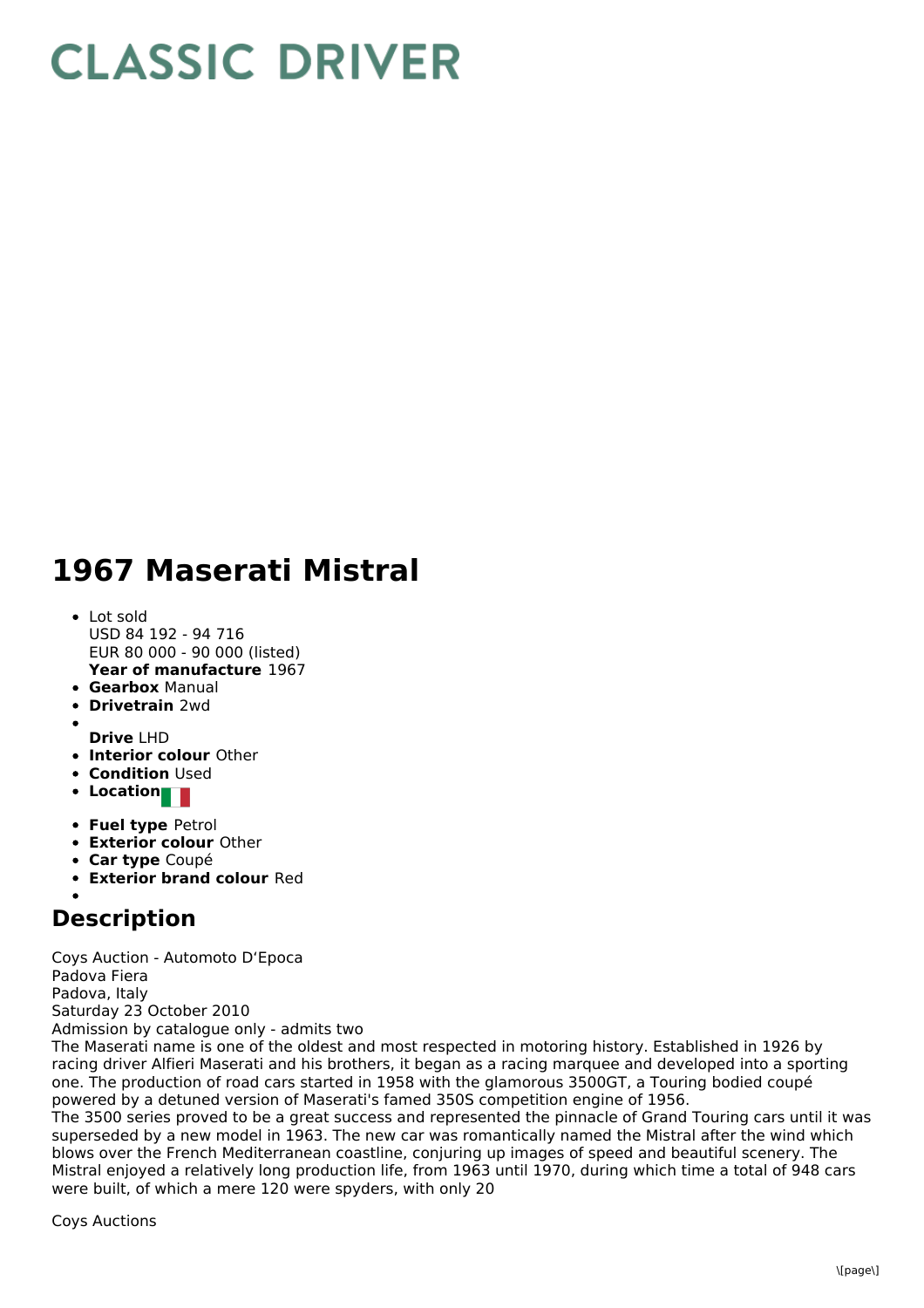## **CLASSIC DRIVER**

## **1967 Maserati Mistral**

- **Year of manufacture** 1967 Lot sold USD 84 192 - 94 716 EUR 80 000 - 90 000 (listed)
- **Gearbox** Manual
- **Drivetrain** 2wd
- 
- **Drive** LHD **Interior colour** Other
- **Condition Used**
- **Location**
- **Fuel type** Petrol
- **Exterior colour** Other
- **Car type** Coupé
- **Exterior brand colour** Red

## **Description**

Coys Auction - Automoto D'Epoca Padova Fiera Padova, Italy Saturday 23 October 2010 Admission by catalogue only - admits two

The Maserati name is one of the oldest and most respected in motoring history. Established in 1926 by racing driver Alfieri Maserati and his brothers, it began as a racing marquee and developed into a sporting one. The production of road cars started in 1958 with the glamorous 3500GT, a Touring bodied coupé powered by a detuned version of Maserati's famed 350S competition engine of 1956. The 3500 series proved to be a great success and represented the pinnacle of Grand Touring cars until it was superseded by a new model in 1963. The new car was romantically named the Mistral after the wind which

blows over the French Mediterranean coastline, conjuring up images of speed and beautiful scenery. The Mistral enjoyed a relatively long production life, from 1963 until 1970, during which time a total of 948 cars were built, of which a mere 120 were spyders, with only 20

Coys Auctions